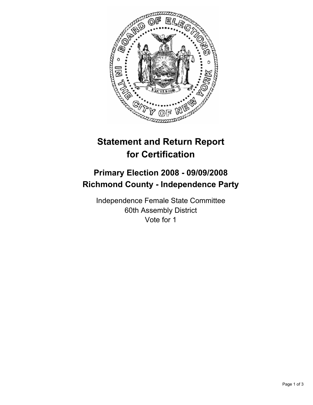

## **Statement and Return Report for Certification**

## **Primary Election 2008 - 09/09/2008 Richmond County - Independence Party**

Independence Female State Committee 60th Assembly District Vote for 1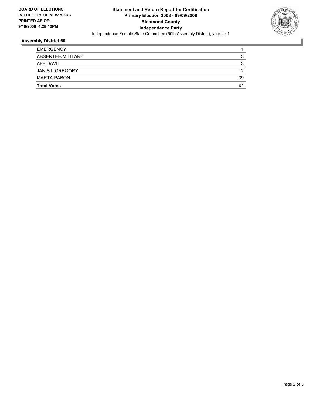

## **Assembly District 60**

| <b>EMERGENCY</b>       |    |
|------------------------|----|
| ABSENTEE/MILITARY      |    |
| AFFIDAVIT              |    |
| <b>JANIS L GREGORY</b> | 12 |
| <b>MARTA PABON</b>     | 39 |
| <b>Total Votes</b>     | 51 |